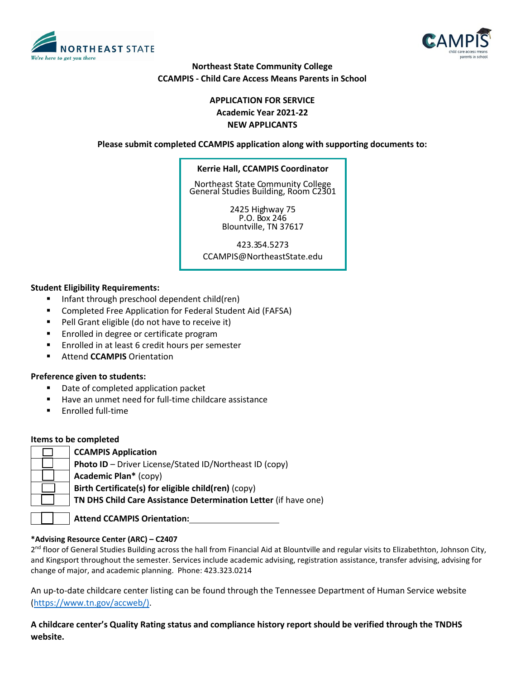



# **Northeast State Community College CCAMPIS - Child Care Access Means Parents in School**

# **APPLICATION FOR SERVICE Academic Year 2021-22 NEW APPLICANTS**

**Please submit completed CCAMPIS application along with supporting documents to:**

#### **Kerrie Hall, CCAMPIS Coordinator**

Northeast State Community College General Studies Building, Room C2301

> 2425 Highway 75 P.O. Box 246 Blountville, TN 37617

> > 423.354.5273

CCAMPIS@NortheastState.edu

## **Student Eligibility Requirements:**

- Infant through preschool dependent child(ren)
- Completed Free Application for Federal Student Aid (FAFSA)
- Pell Grant eligible (do not have to receive it)
- **Enrolled in degree or certificate program**
- Enrolled in at least 6 credit hours per semester
- **EXECUTES Attend CCAMPIS** Orientation

#### **Preference given to students:**

- Date of completed application packet
- Have an unmet need for full-time childcare assistance
- Enrolled full-time

#### **Items to be completed**

| <b>CCAMPIS Application</b>                                      |
|-----------------------------------------------------------------|
| Photo ID - Driver License/Stated ID/Northeast ID (copy)         |
| <b>Academic Plan*</b> (copy)                                    |
| Birth Certificate(s) for eligible child(ren) (copy)             |
| TN DHS Child Care Assistance Determination Letter (if have one) |
|                                                                 |

**Attend CCAMPIS Orientation: .**

#### **\*Advising Resource Center (ARC) – C2407**

2<sup>nd</sup> floor of General Studies Building across the hall from Financial Aid at Blountville and regular visits to Elizabethton, Johnson City, and Kingsport throughout the semester. Services include academic advising, registration assistance, transfer advising, advising for change of major, and academic planning. Phone: 423.323.0214

An up-to-date childcare center listing can be found through the Tennessee Department of Human Service website [\(https://www.tn.gov/accweb/\)](https://www.tn.gov/accweb/).

**A childcare center's Quality Rating status and compliance history report should be verified through the TNDHS website.**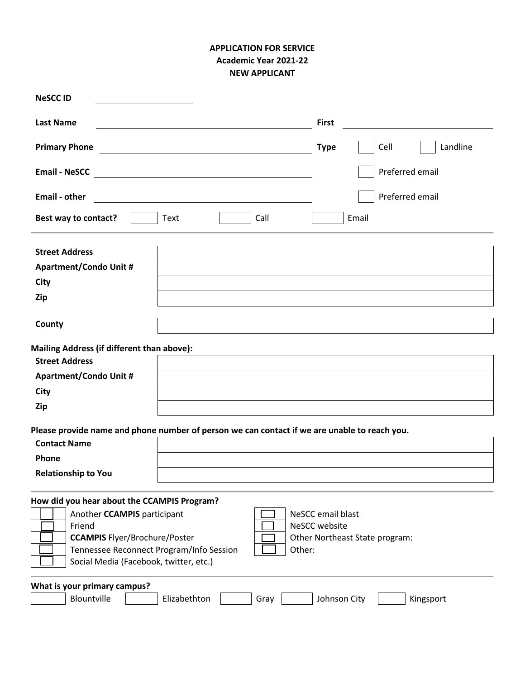# **APPLICATION FOR SERVICE Academic Year 2021-22 NEW APPLICANT**

| <b>NeSCCID</b>                                                                                                                                                                                                               |                                                                      |
|------------------------------------------------------------------------------------------------------------------------------------------------------------------------------------------------------------------------------|----------------------------------------------------------------------|
| <b>Last Name</b>                                                                                                                                                                                                             | <b>First</b>                                                         |
| <b>Primary Phone</b>                                                                                                                                                                                                         | Cell<br>Landline<br><b>Type</b>                                      |
| <b>Email - NeSCC</b><br><u> 1989 - Johann Stein, mars an deus Amerikaansk kommunister (</u>                                                                                                                                  | Preferred email                                                      |
| <b>Email - other</b>                                                                                                                                                                                                         | Preferred email                                                      |
| Best way to contact?<br>Call<br>Text                                                                                                                                                                                         | Email                                                                |
| <b>Street Address</b><br><b>Apartment/Condo Unit #</b><br>City<br>Zip                                                                                                                                                        |                                                                      |
| County                                                                                                                                                                                                                       |                                                                      |
| Mailing Address (if different than above):                                                                                                                                                                                   |                                                                      |
| <b>Street Address</b><br><b>Apartment/Condo Unit #</b>                                                                                                                                                                       |                                                                      |
| City                                                                                                                                                                                                                         |                                                                      |
| <b>Zip</b>                                                                                                                                                                                                                   |                                                                      |
| Please provide name and phone number of person we can contact if we are unable to reach you.<br><b>Contact Name</b><br>Phone<br><b>Relationship to You</b>                                                                   |                                                                      |
| How did you hear about the CCAMPIS Program?<br>Another CCAMPIS participant<br>Friend<br><b>CCAMPIS</b> Flyer/Brochure/Poster<br>Tennessee Reconnect Program/Info Session<br>Other:<br>Social Media (Facebook, twitter, etc.) | NeSCC email blast<br>NeSCC website<br>Other Northeast State program: |
| What is your primary campus?<br>Blountville<br>Elizabethton<br>Gray                                                                                                                                                          | Johnson City<br>Kingsport                                            |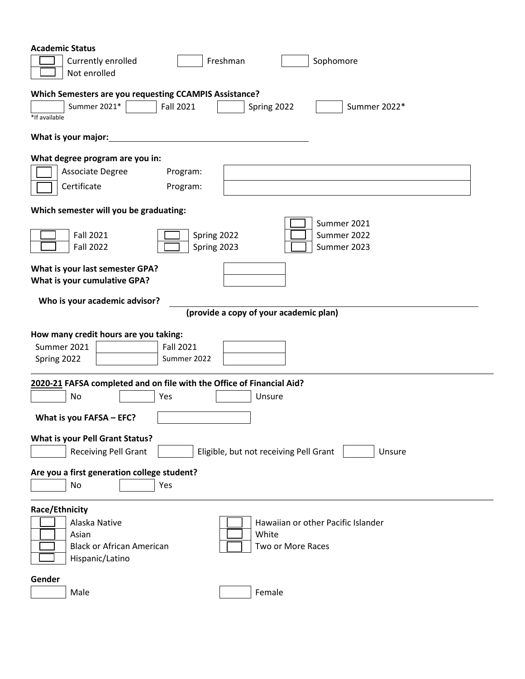| <b>Academic Status</b><br>Freshman<br>Currently enrolled<br>Sophomore<br>Not enrolled                                                                               |
|---------------------------------------------------------------------------------------------------------------------------------------------------------------------|
| Which Semesters are you requesting CCAMPIS Assistance?<br>Summer 2021*<br><b>Fall 2021</b><br>Summer 2022*<br>Spring 2022<br>*If available                          |
| What is your major:                                                                                                                                                 |
| What degree program are you in:<br><b>Associate Degree</b><br>Program:<br>Certificate<br>Program:                                                                   |
| Which semester will you be graduating:                                                                                                                              |
| Summer 2021<br><b>Fall 2021</b><br>Summer 2022<br>Spring 2022<br>Spring 2023<br><b>Fall 2022</b><br>Summer 2023                                                     |
| What is your last semester GPA?<br>What is your cumulative GPA?                                                                                                     |
| Who is your academic advisor?<br>(provide a copy of your academic plan)                                                                                             |
| How many credit hours are you taking:<br>Summer 2021<br><b>Fall 2021</b><br>Spring 2022<br>Summer 2022                                                              |
| 2020-21 FAFSA completed and on file with the Office of Financial Aid?<br>No<br>Yes<br>Unsure                                                                        |
| What is you FAFSA - EFC?                                                                                                                                            |
| <b>What is your Pell Grant Status?</b><br>Eligible, but not receiving Pell Grant<br><b>Receiving Pell Grant</b><br>Unsure                                           |
| Are you a first generation college student?<br>No<br>Yes                                                                                                            |
| Race/Ethnicity<br>Alaska Native<br>Hawaiian or other Pacific Islander<br>White<br>Asian<br><b>Black or African American</b><br>Two or More Races<br>Hispanic/Latino |
| Gender<br>Female<br>Male                                                                                                                                            |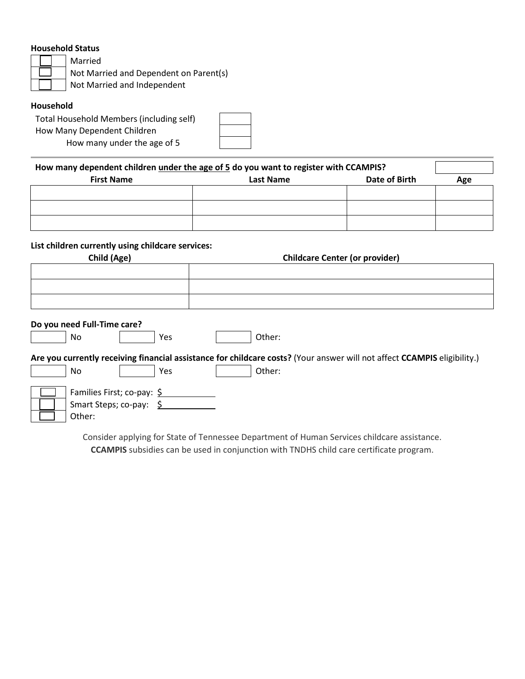## **Household Status**

Married Not Married and Dependent on Parent(s) Not Married and Independent

## **Household**

Total Household Members (including self) How Many Dependent Children How many under the age of 5

| How many dependent children <i>under the age of 5</i> do you want to register with CCAMPIS? |  |  |
|---------------------------------------------------------------------------------------------|--|--|
|                                                                                             |  |  |

| <b>First Name</b> | <b>Last Name</b> | Date of Birth | Age |
|-------------------|------------------|---------------|-----|
|                   |                  |               |     |
|                   |                  |               |     |
|                   |                  |               |     |
|                   |                  |               |     |
|                   |                  |               |     |

## **List children currently using childcare services:**

| Child (Age) |  |
|-------------|--|
|             |  |

| Child (Age) | <b>Childcare Center (or provider)</b> |  |  |
|-------------|---------------------------------------|--|--|
|             |                                       |  |  |
|             |                                       |  |  |
|             |                                       |  |  |
|             |                                       |  |  |
|             |                                       |  |  |

### **Do you need Full-Time care?**

| N۵<br>$\sim$ | Vac<br>ີ | Other: |
|--------------|----------|--------|
|--------------|----------|--------|

**Are you currently receiving financial assistance for childcare costs?** (Your answer will not affect **CCAMPIS** eligibility.) No  $\vert$  Yes  $\vert$  Other:

| Families First; co-pay: \$ |  |
|----------------------------|--|
| Smart Steps; co-pay: \$    |  |
| Other:                     |  |

Consider applying for State of Tennessee Department of Human Services childcare assistance. **CCAMPIS** subsidies can be used in conjunction with TNDHS child care certificate program.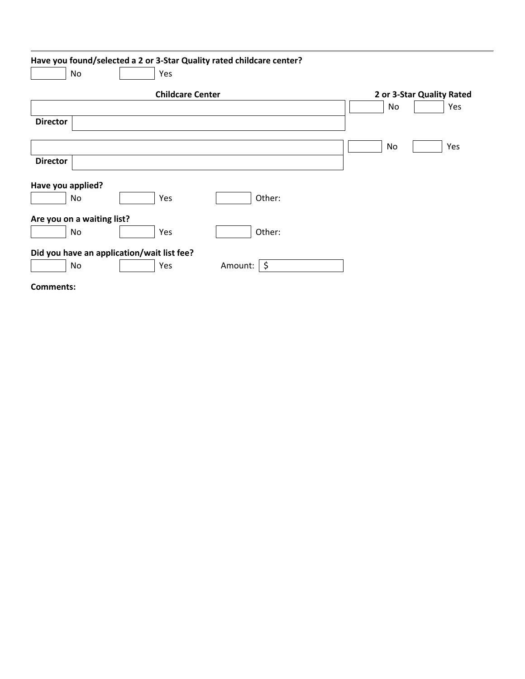|                   | Have you found/selected a 2 or 3-Star Quality rated childcare center? |                         |                       |        |    |                           |     |
|-------------------|-----------------------------------------------------------------------|-------------------------|-----------------------|--------|----|---------------------------|-----|
|                   | No                                                                    | Yes                     |                       |        |    |                           |     |
|                   |                                                                       | <b>Childcare Center</b> |                       |        |    | 2 or 3-Star Quality Rated |     |
|                   |                                                                       |                         |                       |        | No |                           | Yes |
| <b>Director</b>   |                                                                       |                         |                       |        |    |                           |     |
|                   |                                                                       |                         |                       |        | No |                           | Yes |
| <b>Director</b>   |                                                                       |                         |                       |        |    |                           |     |
| Have you applied? |                                                                       |                         |                       |        |    |                           |     |
|                   | No                                                                    | Yes                     |                       | Other: |    |                           |     |
|                   | Are you on a waiting list?                                            |                         |                       |        |    |                           |     |
|                   | No                                                                    | Yes                     |                       | Other: |    |                           |     |
|                   | Did you have an application/wait list fee?                            |                         |                       |        |    |                           |     |
|                   | No                                                                    | Yes                     | Amount: $\frac{1}{5}$ |        |    |                           |     |

**Comments:**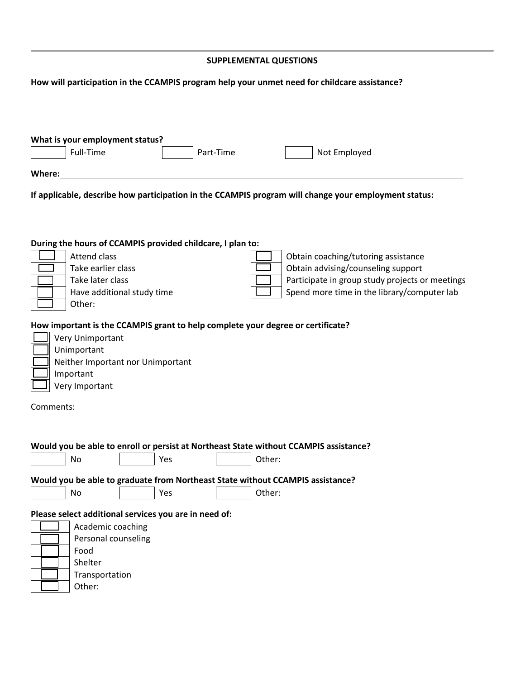### **SUPPLEMENTAL QUESTIONS**

## **How will participation in the CCAMPIS program help your unmet need for childcare assistance?**

| What is your employment status? |           |              |  |  |  |
|---------------------------------|-----------|--------------|--|--|--|
| Full-Time                       | Part-Time | Not Employed |  |  |  |
|                                 |           |              |  |  |  |
| Where:                          |           |              |  |  |  |

**If applicable, describe how participation in the CCAMPIS program will change your employment status:**

### **During the hours of CCAMPIS provided childcare, I plan to:**

|  | Attend class               | Obtain coaching/tutoring assistance             |
|--|----------------------------|-------------------------------------------------|
|  | Take earlier class         | Obtain advising/counseling support              |
|  | Take later class           | Participate in group study projects or meetings |
|  | Have additional study time | Spend more time in the library/computer lab     |
|  | Other:                     |                                                 |

## **How important is the CCAMPIS grant to help complete your degree or certificate?**

| Very Unimportant                  |
|-----------------------------------|
| Unimportant                       |
| Neither Important nor Unimportant |
| Important                         |
| Very Important                    |

Comments:

| Would you be able to enroll or persist at Northeast State without CCAMPIS assistance? |
|---------------------------------------------------------------------------------------|
| Other:<br>Yes<br>No                                                                   |
| Would you be able to graduate from Northeast State without CCAMPIS assistance?        |
| Other:<br>Yes<br>No                                                                   |
| Please select additional services you are in need of:                                 |
| Academic coaching                                                                     |
| Personal counseling                                                                   |
| Food                                                                                  |
| Shelter                                                                               |
| Transportation                                                                        |
| Other:                                                                                |